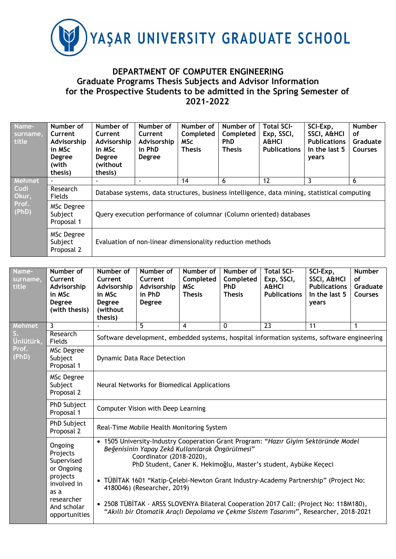

## **DEPARTMENT OF COMPUTER ENGINEERING Graduate Programs Thesis Subjects and Advisor Information for the Prospective Students to be admitted in the Spring Semester of 2021-2022**

| Name-<br>surname,<br>title             | Number of<br>Current<br>Advisorship<br>in MSc<br><b>Degree</b><br>(with<br>thesis) | Number of<br>Current<br>Advisorship<br>in MSc<br><b>Degree</b><br>(without<br>thesis)        | Number of<br>Current<br>Advisorship<br>in PhD<br><b>Degree</b> | Number of<br>Completed<br><b>MSc</b><br><b>Thesis</b> | Number of<br>Completed<br><b>PhD</b><br><b>Thesis</b> | <b>Total SCI-</b><br>Exp, SSCI,<br><b>A&amp;HCI</b><br><b>Publications</b> | SCI-Exp.<br><b>SSCI, A&amp;HCI</b><br><b>Publications</b><br>In the last 5<br>years | <b>Number</b><br>οf<br>Graduate<br><b>Courses</b> |  |
|----------------------------------------|------------------------------------------------------------------------------------|----------------------------------------------------------------------------------------------|----------------------------------------------------------------|-------------------------------------------------------|-------------------------------------------------------|----------------------------------------------------------------------------|-------------------------------------------------------------------------------------|---------------------------------------------------|--|
| Mehmet                                 |                                                                                    |                                                                                              |                                                                | 14                                                    | 6                                                     | 12                                                                         | 3                                                                                   | 6                                                 |  |
| <b>Cudi</b><br>Okur,<br>Prof.<br>(PhD) | Research<br>Fields                                                                 | Database systems, data structures, business intelligence, data mining, statistical computing |                                                                |                                                       |                                                       |                                                                            |                                                                                     |                                                   |  |
|                                        | <b>MSc Degree</b><br>Subject<br>Proposal 1                                         | Query execution performance of columnar (Column oriented) databases                          |                                                                |                                                       |                                                       |                                                                            |                                                                                     |                                                   |  |
|                                        | <b>MSc Degree</b><br>Subject<br>Proposal 2                                         |                                                                                              | Evaluation of non-linear dimensionality reduction methods      |                                                       |                                                       |                                                                            |                                                                                     |                                                   |  |

| Name-<br>surname,<br>title                                                                                                                                                                                                                                                                                                                                                                                                                                                                                                                                                                                                                                                                     | Number of<br>Current<br>Advisorship<br>in MSc<br><b>Degree</b><br>(with thesis) | Number of<br>Current<br>Advisorship<br>in MSc<br><b>Degree</b><br>(without<br>thesis) | Number of<br>Current<br>Advisorship<br>in PhD<br>Degree                                                                          | Number of<br>Completed<br><b>MSc</b><br><b>Thesis</b> | Number of<br>Completed<br><b>PhD</b><br><b>Thesis</b> | <b>Total SCI-</b><br>Exp, SSCI,<br><b>A&amp;HCI</b><br><b>Publications</b> | SCI-Exp,<br>SSCI, A&HCI<br><b>Publications</b><br>In the last 5<br>years | <b>Number</b><br>of<br>Graduate<br><b>Courses</b> |  |  |
|------------------------------------------------------------------------------------------------------------------------------------------------------------------------------------------------------------------------------------------------------------------------------------------------------------------------------------------------------------------------------------------------------------------------------------------------------------------------------------------------------------------------------------------------------------------------------------------------------------------------------------------------------------------------------------------------|---------------------------------------------------------------------------------|---------------------------------------------------------------------------------------|----------------------------------------------------------------------------------------------------------------------------------|-------------------------------------------------------|-------------------------------------------------------|----------------------------------------------------------------------------|--------------------------------------------------------------------------|---------------------------------------------------|--|--|
| Mehmet                                                                                                                                                                                                                                                                                                                                                                                                                                                                                                                                                                                                                                                                                         | $\overline{3}$                                                                  |                                                                                       | 5                                                                                                                                | $\overline{4}$                                        | 0                                                     | 23                                                                         | 11                                                                       | 1                                                 |  |  |
| Unlütürk,                                                                                                                                                                                                                                                                                                                                                                                                                                                                                                                                                                                                                                                                                      | Research<br>Fields                                                              |                                                                                       | Software development, embedded systems, hospital information systems, software engineering<br><b>Dynamic Data Race Detection</b> |                                                       |                                                       |                                                                            |                                                                          |                                                   |  |  |
| Prof.<br>(PhD)                                                                                                                                                                                                                                                                                                                                                                                                                                                                                                                                                                                                                                                                                 | <b>MSc Degree</b><br>Subject<br>Proposal 1                                      |                                                                                       |                                                                                                                                  |                                                       |                                                       |                                                                            |                                                                          |                                                   |  |  |
|                                                                                                                                                                                                                                                                                                                                                                                                                                                                                                                                                                                                                                                                                                | <b>MSc Degree</b><br>Subject<br>Proposal 2                                      | Neural Networks for Biomedical Applications<br>Computer Vision with Deep Learning     |                                                                                                                                  |                                                       |                                                       |                                                                            |                                                                          |                                                   |  |  |
|                                                                                                                                                                                                                                                                                                                                                                                                                                                                                                                                                                                                                                                                                                | PhD Subject<br>Proposal 1                                                       |                                                                                       |                                                                                                                                  |                                                       |                                                       |                                                                            |                                                                          |                                                   |  |  |
|                                                                                                                                                                                                                                                                                                                                                                                                                                                                                                                                                                                                                                                                                                | PhD Subject<br>Proposal 2                                                       |                                                                                       | Real-Time Mobile Health Monitoring System                                                                                        |                                                       |                                                       |                                                                            |                                                                          |                                                   |  |  |
| 1505 University-Industry Cooperation Grant Program: "Hazır Giyim Sektöründe Model<br>$\bullet$<br>Ongoing<br>Beğenisinin Yapay Zekâ Kullanılarak Öngörülmesi"<br>Projects<br>Coordinator (2018-2020),<br>Supervised<br>PhD Student, Caner K. Hekimoğlu, Master's student, Aybüke Keçeci<br>or Ongoing<br>projects<br>TÜBİTAK 1601 "Katip-Çelebi-Newton Grant Industry-Academy Partnership" (Project No:<br>involved in<br>4180046) (Researcher, 2019)<br>as a<br>researcher<br>• 2508 TÜBİTAK - ARSS SLOVENYA Bilateral Cooperation 2017 Call: (Project No: 118M180),<br>And scholar<br>"Akıllı bir Otomatik Araçlı Depolama ve Çekme Sistem Tasarımı", Researcher, 2018-2021<br>opportunities |                                                                                 |                                                                                       |                                                                                                                                  |                                                       |                                                       |                                                                            |                                                                          |                                                   |  |  |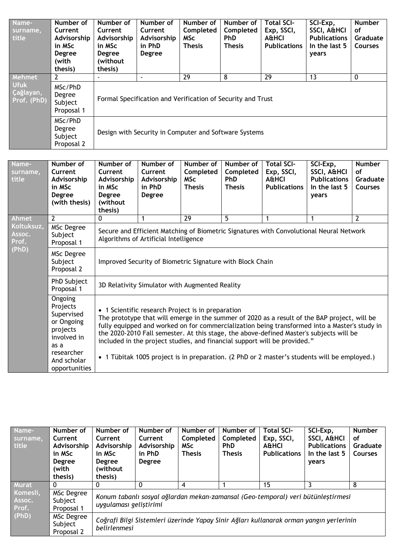| Name-<br>surname,<br>title              | Number of<br>Current<br>Advisorship<br>in MSc<br><b>Degree</b><br>(with<br>thesis) | Number of<br>Current<br>Advisorship<br>in MSc<br><b>Degree</b><br>(without<br>thesis) | Number of<br>Current<br>Advisorship<br>in PhD<br><b>Degree</b> | Number of<br>Completed<br><b>MSc</b><br><b>Thesis</b> | Number of<br>Completed<br><b>PhD</b><br><b>Thesis</b> | <b>Total SCI-</b><br>Exp, SSCI,<br><b>A&amp;HCI</b><br><b>Publications</b> | SCI-Exp,<br><b>SSCI, A&amp;HCI</b><br><b>Publications</b><br>In the last 5<br>years | <b>Number</b><br>οf<br>Graduate<br><b>Courses</b> |  |
|-----------------------------------------|------------------------------------------------------------------------------------|---------------------------------------------------------------------------------------|----------------------------------------------------------------|-------------------------------------------------------|-------------------------------------------------------|----------------------------------------------------------------------------|-------------------------------------------------------------------------------------|---------------------------------------------------|--|
| Mehmet                                  |                                                                                    |                                                                                       |                                                                | 29                                                    | 8                                                     | 29                                                                         | 13                                                                                  | $\mathbf{0}$                                      |  |
| <b>Ufuk</b><br>Çağlayan,<br>Prof. (PhD) | MSc/PhD<br>Degree<br>Subject<br>Proposal 1                                         |                                                                                       | Formal Specification and Verification of Security and Trust    |                                                       |                                                       |                                                                            |                                                                                     |                                                   |  |
|                                         | MSc/PhD<br>Degree<br>Subject<br>Proposal 2                                         |                                                                                       | Design with Security in Computer and Software Systems          |                                                       |                                                       |                                                                            |                                                                                     |                                                   |  |

| Name-<br>surname,<br>title             | Number of<br>Current<br>Advisorship<br>in MSc<br><b>Degree</b><br>(with thesis)                                                  | Number of<br>Current<br>Advisorship<br>in MSc<br><b>Degree</b><br>(without<br>thesis)                                            | Number of<br>Current<br>Advisorship<br>in PhD<br><b>Degree</b>                                                                                                                                                                                                                                                                                                                                                                                                                                                             | Number of<br>Completed<br><b>MSc</b><br><b>Thesis</b> | Number of<br>Completed<br><b>PhD</b><br><b>Thesis</b> | <b>Total SCI-</b><br>Exp, SSCI,<br><b>A&amp;HCI</b><br><b>Publications</b> | SCI-Exp,<br>SSCI, A&HCI<br><b>Publications</b><br>In the last 5<br>years | <b>Number</b><br>of<br>Graduate<br><b>Courses</b> |  |  |
|----------------------------------------|----------------------------------------------------------------------------------------------------------------------------------|----------------------------------------------------------------------------------------------------------------------------------|----------------------------------------------------------------------------------------------------------------------------------------------------------------------------------------------------------------------------------------------------------------------------------------------------------------------------------------------------------------------------------------------------------------------------------------------------------------------------------------------------------------------------|-------------------------------------------------------|-------------------------------------------------------|----------------------------------------------------------------------------|--------------------------------------------------------------------------|---------------------------------------------------|--|--|
| <b>Ahmet</b>                           | $\overline{2}$                                                                                                                   | 29<br>5<br>$\overline{2}$<br>0<br>1<br>$\mathbf{1}$<br>$\mathbf 1$                                                               |                                                                                                                                                                                                                                                                                                                                                                                                                                                                                                                            |                                                       |                                                       |                                                                            |                                                                          |                                                   |  |  |
| Koltuksuz,<br>Assoc.<br>Prof.<br>(PhD) | MSc Degree<br>Subject<br>Proposal 1                                                                                              | Secure and Efficient Matching of Biometric Signatures with Convolutional Neural Network<br>Algorithms of Artificial Intelligence |                                                                                                                                                                                                                                                                                                                                                                                                                                                                                                                            |                                                       |                                                       |                                                                            |                                                                          |                                                   |  |  |
|                                        | <b>MSc Degree</b><br>Subject<br>Proposal 2                                                                                       |                                                                                                                                  | Improved Security of Biometric Signature with Block Chain                                                                                                                                                                                                                                                                                                                                                                                                                                                                  |                                                       |                                                       |                                                                            |                                                                          |                                                   |  |  |
|                                        | PhD Subject<br>Proposal 1                                                                                                        | 3D Relativity Simulator with Augmented Reality                                                                                   |                                                                                                                                                                                                                                                                                                                                                                                                                                                                                                                            |                                                       |                                                       |                                                                            |                                                                          |                                                   |  |  |
|                                        | Ongoing<br>Projects<br>Supervised<br>or Ongoing<br>projects<br>involved in<br>as a<br>researcher<br>And scholar<br>opportunities |                                                                                                                                  | • 1 Scientific research Project is in preparation<br>The prototype that will emerge in the summer of 2020 as a result of the BAP project, will be<br>fully equipped and worked on for commercialization being transformed into a Master's study in<br>the 2020-2010 Fall semester. At this stage, the above-defined Master's subjects will be<br>included in the project studies, and financial support will be provided."<br>• 1 Tübitak 1005 project is in preparation. (2 PhD or 2 master's students will be employed.) |                                                       |                                                       |                                                                            |                                                                          |                                                   |  |  |

| Name-<br>surname,<br>title  | Number of<br>Current<br>Advisorship<br>in MSc<br><b>Degree</b><br>(with<br>thesis) | Number of<br>Current<br>Advisorship<br>in MSc<br><b>Degree</b><br>(without<br>thesis) | Number of<br>Current<br>Advisorship<br>in PhD<br><b>Degree</b>                                             | Number of<br>Completed<br><b>MSc</b><br><b>Thesis</b> | Number of<br>Completed<br><b>PhD</b><br><b>Thesis</b> | Total SCI-<br>Exp, SSCI,<br><b>A&amp;HCI</b><br><b>Publications</b> | SCI-Exp,<br><b>SSCI, A&amp;HCI</b><br><b>Publications</b><br>In the last 5<br>years     | <b>Number</b><br>0f<br>Graduate<br><b>Courses</b> |  |  |
|-----------------------------|------------------------------------------------------------------------------------|---------------------------------------------------------------------------------------|------------------------------------------------------------------------------------------------------------|-------------------------------------------------------|-------------------------------------------------------|---------------------------------------------------------------------|-----------------------------------------------------------------------------------------|---------------------------------------------------|--|--|
| <b>Murat</b>                |                                                                                    |                                                                                       | 0                                                                                                          | 4                                                     |                                                       | 15                                                                  |                                                                                         | 8                                                 |  |  |
| Komesli,<br>Assoc.<br>Prof. | MSc Degree<br>Subject<br>Proposal 1                                                |                                                                                       | Konum tabanlı sosyal ağlardan mekan-zamansal (Geo-temporal) veri bütünleştirmesi<br>uygulaması geliştirimi |                                                       |                                                       |                                                                     |                                                                                         |                                                   |  |  |
| (PhD)                       | MSc Degree<br>Subject<br>Proposal 2                                                | belirlenmesi                                                                          |                                                                                                            |                                                       |                                                       |                                                                     | Coğrafi Bilgi Sistemleri üzerinde Yapay Sinir Ağları kullanarak orman yangın yerlerinin |                                                   |  |  |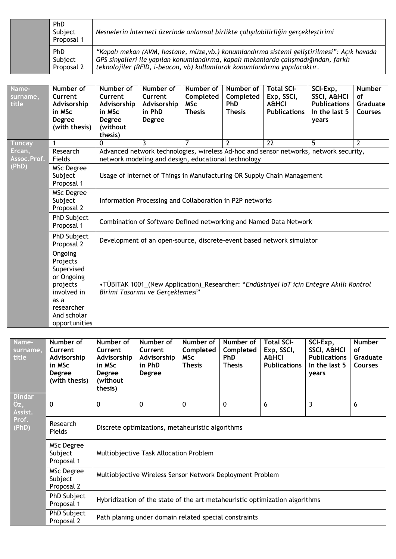| <b>PhD</b><br>Subject<br>Proposal 1 | Nesnelerin İnterneti üzerinde anlamsal birlikte çalışılabilirliğin gerçekleştirimi                                                                                                                                                                             |
|-------------------------------------|----------------------------------------------------------------------------------------------------------------------------------------------------------------------------------------------------------------------------------------------------------------|
| <b>PhD</b><br>Subject<br>Proposal 2 | "Kapalı mekan (AVM, hastane, müze,vb.) konumlandırma sistemi geliştirilmesi": Açık havada<br>GPS sinyalleri ile yapılan konumlandırma, kapalı mekanlarda çalışmadığından, farklı<br>teknolojiler (RFID, i-beacon, vb) kullanılarak konumlandırma yapılacaktır. |

| Name-<br>surname,<br>title | Number of<br>Current<br>Advisorship<br>in MSc<br><b>Degree</b><br>(with thesis)                                                  | Number of<br>Current<br>Advisorship<br>in MSc<br>Degree<br>(without<br>thesis) | Number of<br>Current<br>Advisorship<br>in PhD<br><b>Degree</b>                                                                               | Number of<br>Completed<br><b>MSc</b><br><b>Thesis</b> | Number of<br>Completed<br><b>PhD</b><br><b>Thesis</b> | <b>Total SCI-</b><br>Exp, SSCI,<br><b>A&amp;HCI</b><br><b>Publications</b> | SCI-Exp,<br>SSCI, A&HCI<br><b>Publications</b><br>In the last 5<br>years | <b>Number</b><br>of<br>Graduate<br><b>Courses</b> |  |  |  |
|----------------------------|----------------------------------------------------------------------------------------------------------------------------------|--------------------------------------------------------------------------------|----------------------------------------------------------------------------------------------------------------------------------------------|-------------------------------------------------------|-------------------------------------------------------|----------------------------------------------------------------------------|--------------------------------------------------------------------------|---------------------------------------------------|--|--|--|
| <b>Tuncay</b>              | 1                                                                                                                                | $\Omega$                                                                       | 3                                                                                                                                            | 7                                                     | $\mathcal{P}$                                         | 22                                                                         | 5.                                                                       | $\overline{2}$                                    |  |  |  |
| Ercan,<br>Assoc.Prof.      | Research<br>Fields                                                                                                               |                                                                                | Advanced network technologies, wireless Ad-hoc and sensor networks, network security,<br>network modeling and design, educational technology |                                                       |                                                       |                                                                            |                                                                          |                                                   |  |  |  |
| (PhD)                      | <b>MSc Degree</b><br>Subject<br>Proposal 1                                                                                       | Usage of Internet of Things in Manufacturing OR Supply Chain Management        |                                                                                                                                              |                                                       |                                                       |                                                                            |                                                                          |                                                   |  |  |  |
|                            | MSc Degree<br>Subject<br>Proposal 2                                                                                              | Information Processing and Collaboration in P2P networks                       |                                                                                                                                              |                                                       |                                                       |                                                                            |                                                                          |                                                   |  |  |  |
|                            | PhD Subject<br>Proposal 1                                                                                                        | Combination of Software Defined networking and Named Data Network              |                                                                                                                                              |                                                       |                                                       |                                                                            |                                                                          |                                                   |  |  |  |
|                            | PhD Subject<br>Proposal 2                                                                                                        | Development of an open-source, discrete-event based network simulator          |                                                                                                                                              |                                                       |                                                       |                                                                            |                                                                          |                                                   |  |  |  |
|                            | Ongoing<br>Projects<br>Supervised<br>or Ongoing<br>projects<br>involved in<br>as a<br>researcher<br>And scholar<br>opportunities |                                                                                | •TÜBİTAK 1001_(New Application)_Researcher: "Endüstriyel IoT için Entegre Akıllı Kontrol<br>Birimi Tasarımı ve Gerçeklemesi"                 |                                                       |                                                       |                                                                            |                                                                          |                                                   |  |  |  |

| Name-<br>surname,<br>title                        | Number of<br>Current<br>Advisorship<br>in MSc<br><b>Degree</b><br>(with thesis) | Number of<br>Current<br>Advisorship<br>in MSc<br><b>Degree</b><br>(without<br>thesis) | Number of<br>Current<br>Advisorship<br>in PhD<br><b>Degree</b> | Number of<br>Completed<br><b>MSc</b><br><b>Thesis</b> | Number of<br>Completed<br><b>PhD</b><br><b>Thesis</b> | <b>Total SCI-</b><br>Exp, SSCI,<br><b>A&amp;HCI</b><br><b>Publications</b>  | SCI-Exp,<br><b>SSCI, A&amp;HCI</b><br><b>Publications</b><br>In the last 5<br>years | <b>Number</b><br><b>of</b><br>Graduate<br><b>Courses</b> |  |  |  |  |
|---------------------------------------------------|---------------------------------------------------------------------------------|---------------------------------------------------------------------------------------|----------------------------------------------------------------|-------------------------------------------------------|-------------------------------------------------------|-----------------------------------------------------------------------------|-------------------------------------------------------------------------------------|----------------------------------------------------------|--|--|--|--|
| <b>Dindar</b><br>Öz,<br>Assist.<br>Prof.<br>(PhD) | $\mathbf 0$                                                                     | 0                                                                                     | 0<br>3<br>0<br>0<br>6<br>6                                     |                                                       |                                                       |                                                                             |                                                                                     |                                                          |  |  |  |  |
|                                                   | Research<br>Fields                                                              | Discrete optimizations, metaheuristic algorithms                                      |                                                                |                                                       |                                                       |                                                                             |                                                                                     |                                                          |  |  |  |  |
|                                                   | MSc Degree<br>Subject<br>Proposal 1                                             | Multiobjective Task Allocation Problem                                                |                                                                |                                                       |                                                       |                                                                             |                                                                                     |                                                          |  |  |  |  |
|                                                   | MSc Degree<br>Subject<br>Proposal 2                                             | Multiobjective Wireless Sensor Network Deployment Problem                             |                                                                |                                                       |                                                       |                                                                             |                                                                                     |                                                          |  |  |  |  |
|                                                   | PhD Subject<br>Proposal 1                                                       |                                                                                       |                                                                |                                                       |                                                       | Hybridization of the state of the art metaheuristic optimization algorithms |                                                                                     |                                                          |  |  |  |  |
|                                                   | PhD Subject<br>Proposal 2                                                       |                                                                                       | Path planing under domain related special constraints          |                                                       |                                                       |                                                                             |                                                                                     |                                                          |  |  |  |  |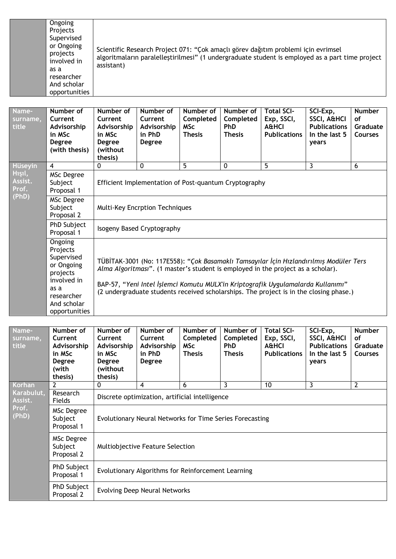| Ongoing<br>Projects<br>Supervised<br>or Ongoing<br>Scientific Research Project 071: "Çok amaçlı görev dağıtım problemi için evrimsel |          |                                                                                                 |
|--------------------------------------------------------------------------------------------------------------------------------------|----------|-------------------------------------------------------------------------------------------------|
| involved in<br>assistant)<br>as a<br>researcher<br>And scholar<br>opportunities                                                      | projects | algoritmaların paralelleştirilmesi" (1 undergraduate student is employed as a part time project |

| Name-<br>surname,<br>title                            | Number of<br>Current<br>Advisorship<br>in MSc<br>Degree<br>(with thesis)                                                         | Number of<br>Current<br>Advisorship<br>in MSc<br>Degree<br>(without<br>thesis)                                                                                                                                                                                                                                                                           | Number of<br>Current<br>Advisorship<br>in PhD<br><b>Degree</b> | Number of<br>Completed<br><b>MSc</b><br><b>Thesis</b> | Number of<br>Completed<br><b>PhD</b><br><b>Thesis</b> | <b>Total SCI-</b><br>Exp, SSCI,<br><b>A&amp;HCI</b><br><b>Publications</b> | SCI-Exp,<br><b>SSCI, A&amp;HCI</b><br><b>Publications</b><br>In the last 5<br>years | <b>Number</b><br><b>of</b><br>Graduate<br><b>Courses</b> |  |  |
|-------------------------------------------------------|----------------------------------------------------------------------------------------------------------------------------------|----------------------------------------------------------------------------------------------------------------------------------------------------------------------------------------------------------------------------------------------------------------------------------------------------------------------------------------------------------|----------------------------------------------------------------|-------------------------------------------------------|-------------------------------------------------------|----------------------------------------------------------------------------|-------------------------------------------------------------------------------------|----------------------------------------------------------|--|--|
| <b>Hüseyin</b><br>Hışıl,<br>Assist.<br>Prof.<br>(PhD) | 4<br>MSc Degree<br>Subject<br>Proposal 1                                                                                         | $\mathbf{0}$                                                                                                                                                                                                                                                                                                                                             | 0<br>Efficient Implementation of Post-quantum Cryptography     | 5                                                     | 0                                                     | 5                                                                          | 3                                                                                   | 6                                                        |  |  |
|                                                       | MSc Degree<br>Subject<br>Proposal 2                                                                                              | <b>Multi-Key Encrption Techniques</b>                                                                                                                                                                                                                                                                                                                    |                                                                |                                                       |                                                       |                                                                            |                                                                                     |                                                          |  |  |
|                                                       | PhD Subject<br>Proposal 1                                                                                                        | Isogeny Based Cryptography                                                                                                                                                                                                                                                                                                                               |                                                                |                                                       |                                                       |                                                                            |                                                                                     |                                                          |  |  |
|                                                       | Ongoing<br>Projects<br>Supervised<br>or Ongoing<br>projects<br>involved in<br>as a<br>researcher<br>And scholar<br>opportunities | TÜBİTAK-3001 (No: 117E558): "Çok Basamaklı Tamsayılar İçin Hızlandırılmış Modüler Ters<br>Alma Algoritmasi". (1 master's student is employed in the project as a scholar).<br>BAP-57, "Yeni Intel İşlemci Komutu MULX'in Kriptografik Uygulamalarda Kullanımı"<br>(2 undergraduate students received scholarships. The project is in the closing phase.) |                                                                |                                                       |                                                       |                                                                            |                                                                                     |                                                          |  |  |

| Name-<br>surname,<br>title              | Number of<br>Current<br>Advisorship<br>in MSc<br><b>Degree</b><br>(with<br>thesis) | Number of<br>Current<br>Advisorship<br>in MSc<br><b>Degree</b><br>(without<br>thesis) | Number of<br><b>Current</b><br>Advisorship<br>in PhD<br><b>Degree</b> | Number of<br>Completed<br><b>MSc</b><br><b>Thesis</b> | Number of<br>Completed<br><b>PhD</b><br><b>Thesis</b> | <b>Total SCI-</b><br>Exp, SSCI,<br><b>A&amp;HCI</b><br><b>Publications</b> | SCI-Exp,<br><b>SSCI, A&amp;HCI</b><br><b>Publications</b><br>In the last 5<br>years | <b>Number</b><br>οf<br>Graduate<br><b>Courses</b> |  |  |
|-----------------------------------------|------------------------------------------------------------------------------------|---------------------------------------------------------------------------------------|-----------------------------------------------------------------------|-------------------------------------------------------|-------------------------------------------------------|----------------------------------------------------------------------------|-------------------------------------------------------------------------------------|---------------------------------------------------|--|--|
| Korhan                                  | 2                                                                                  | 0                                                                                     | 4                                                                     | 6                                                     | 3                                                     | 10                                                                         | 3                                                                                   | 2                                                 |  |  |
| Karabulut,<br>Assist.<br>Prof.<br>(PhD) | Research<br>Fields                                                                 | Discrete optimization, artificial intelligence                                        |                                                                       |                                                       |                                                       |                                                                            |                                                                                     |                                                   |  |  |
|                                         | MSc Degree<br>Subject<br>Proposal 1                                                | Evolutionary Neural Networks for Time Series Forecasting                              |                                                                       |                                                       |                                                       |                                                                            |                                                                                     |                                                   |  |  |
|                                         | MSc Degree<br>Subject<br>Proposal 2                                                | Multiobjective Feature Selection                                                      |                                                                       |                                                       |                                                       |                                                                            |                                                                                     |                                                   |  |  |
|                                         | PhD Subject<br>Proposal 1                                                          |                                                                                       | Evolutionary Algorithms for Reinforcement Learning                    |                                                       |                                                       |                                                                            |                                                                                     |                                                   |  |  |
|                                         | PhD Subject<br>Proposal 2                                                          |                                                                                       | Evolving Deep Neural Networks                                         |                                                       |                                                       |                                                                            |                                                                                     |                                                   |  |  |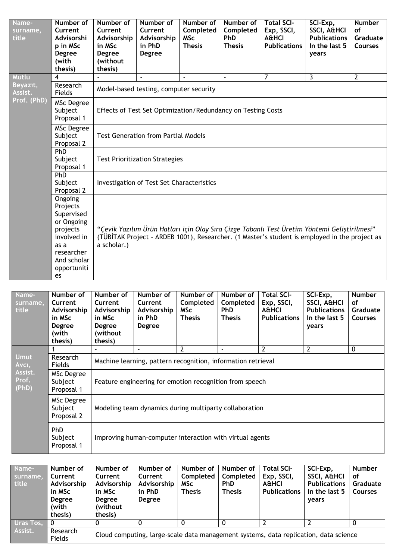| Name-<br>surname,<br>title | Number of<br>Current<br>Advisorshi<br>p in MSc<br>Degree<br>(with<br>thesis)                                                         | Number of<br>Current<br>Advisorship<br>in MSc<br>Degree<br>(without<br>thesis)                                                                                                                               | Number of<br>Current<br>Advisorship<br>in PhD<br>Degree | Number of<br>Completed<br><b>MSc</b><br><b>Thesis</b> | Number of<br>Completed<br><b>PhD</b><br><b>Thesis</b> | <b>Total SCI-</b><br>Exp, SSCI,<br><b>A&amp;HCI</b><br><b>Publications</b> | SCI-Exp,<br>SSCI, A&HCI<br><b>Publications</b><br>In the last 5<br>years | <b>Number</b><br>οf<br>Graduate<br><b>Courses</b> |  |  |
|----------------------------|--------------------------------------------------------------------------------------------------------------------------------------|--------------------------------------------------------------------------------------------------------------------------------------------------------------------------------------------------------------|---------------------------------------------------------|-------------------------------------------------------|-------------------------------------------------------|----------------------------------------------------------------------------|--------------------------------------------------------------------------|---------------------------------------------------|--|--|
| Mutlu                      | 4                                                                                                                                    |                                                                                                                                                                                                              | ä,                                                      | ä,                                                    | ÷,                                                    | $\overline{7}$                                                             | $\overline{3}$                                                           | $\overline{2}$                                    |  |  |
| Beyazit,<br>Assist.        | Research<br>Fields                                                                                                                   |                                                                                                                                                                                                              | Model-based testing, computer security                  |                                                       |                                                       |                                                                            |                                                                          |                                                   |  |  |
| Prof. (PhD)                | MSc Degree<br>Subject<br>Proposal 1                                                                                                  | Effects of Test Set Optimization/Redundancy on Testing Costs                                                                                                                                                 |                                                         |                                                       |                                                       |                                                                            |                                                                          |                                                   |  |  |
|                            | MSc Degree<br>Subject<br>Proposal 2                                                                                                  | <b>Test Generation from Partial Models</b>                                                                                                                                                                   |                                                         |                                                       |                                                       |                                                                            |                                                                          |                                                   |  |  |
|                            | PhD<br>Subject<br>Proposal 1                                                                                                         | <b>Test Prioritization Strategies</b>                                                                                                                                                                        |                                                         |                                                       |                                                       |                                                                            |                                                                          |                                                   |  |  |
|                            | PhD<br>Subject<br>Proposal 2                                                                                                         | <b>Investigation of Test Set Characteristics</b>                                                                                                                                                             |                                                         |                                                       |                                                       |                                                                            |                                                                          |                                                   |  |  |
|                            | Ongoing<br>Projects<br>Supervised<br>or Ongoing<br>projects<br>involved in<br>as a<br>researcher<br>And scholar<br>opportuniti<br>es | "Çevik Yazılım Ürün Hatları için Olay Sıra Çizge Tabanlı Test Üretim Yöntemi Geliştirilmesi"<br>(TÜBİTAK Project - ARDEB 1001), Researcher. (1 Master's student is employed in the project as<br>a scholar.) |                                                         |                                                       |                                                       |                                                                            |                                                                          |                                                   |  |  |

| Name-<br>surname,<br>title                        | Number of<br>Current<br>Advisorship<br>in MSc<br><b>Degree</b><br>(with<br>thesis) | Number of<br>Current<br>Advisorship<br>in MSc<br>Degree<br>(without<br>thesis) | Number of<br><b>Current</b><br>Advisorship<br>in PhD<br><b>Degree</b> | Number of<br>Completed<br>MSc<br><b>Thesis</b> | Number of<br>Completed<br><b>PhD</b><br><b>Thesis</b> | <b>Total SCI-</b><br>Exp, SSCI,<br><b>A&amp;HCI</b><br><b>Publications</b> | SCI-Exp,<br>SSCI, A&HCI<br><b>Publications</b><br>In the last 5<br>years | <b>Number</b><br><b>of</b><br>Graduate<br><b>Courses</b> |  |
|---------------------------------------------------|------------------------------------------------------------------------------------|--------------------------------------------------------------------------------|-----------------------------------------------------------------------|------------------------------------------------|-------------------------------------------------------|----------------------------------------------------------------------------|--------------------------------------------------------------------------|----------------------------------------------------------|--|
|                                                   |                                                                                    |                                                                                |                                                                       | $\overline{2}$                                 |                                                       | $\overline{2}$                                                             | $\overline{2}$                                                           | 0                                                        |  |
| <b>Umut</b><br>Avci,<br>Assist.<br>Prof.<br>(PhD) | Research<br><b>Fields</b>                                                          | Machine learning, pattern recognition, information retrieval                   |                                                                       |                                                |                                                       |                                                                            |                                                                          |                                                          |  |
|                                                   | MSc Degree<br>Subject<br>Proposal 1                                                | Feature engineering for emotion recognition from speech                        |                                                                       |                                                |                                                       |                                                                            |                                                                          |                                                          |  |
|                                                   | MSc Degree<br>Subject<br>Proposal 2                                                | Modeling team dynamics during multiparty collaboration                         |                                                                       |                                                |                                                       |                                                                            |                                                                          |                                                          |  |
|                                                   | <b>PhD</b><br>Subject<br>Proposal 1                                                | Improving human-computer interaction with virtual agents                       |                                                                       |                                                |                                                       |                                                                            |                                                                          |                                                          |  |

| Name-<br>surname,<br>title | Number of<br>Current<br>Advisorship<br>in MSc<br><b>Degree</b><br>(with<br>thesis) | Number of<br>Current<br>Advisorship<br>in MSc<br><b>Degree</b><br>(without)<br>thesis) | Number of<br>Current<br>Advisorship<br>in PhD<br><b>Degree</b> | Number of<br>Completed<br><b>MSc</b><br><b>Thesis</b> | Number of<br>Completed<br><b>PhD</b><br><b>Thesis</b> | <b>Total SCI-</b><br>Exp, SSCI,<br>A&HCI<br><b>Publications</b> | SCI-Exp,<br><b>SSCI, A&amp;HCI</b><br><b>Publications</b><br>In the last 5<br>years | <b>Number</b><br>οf<br>Graduate<br>Courses |
|----------------------------|------------------------------------------------------------------------------------|----------------------------------------------------------------------------------------|----------------------------------------------------------------|-------------------------------------------------------|-------------------------------------------------------|-----------------------------------------------------------------|-------------------------------------------------------------------------------------|--------------------------------------------|
| Uras Tos,                  | - 0                                                                                |                                                                                        |                                                                |                                                       |                                                       |                                                                 |                                                                                     |                                            |
| Assist.                    | Research<br>Fields                                                                 | Cloud computing, large-scale data management systems, data replication, data science   |                                                                |                                                       |                                                       |                                                                 |                                                                                     |                                            |